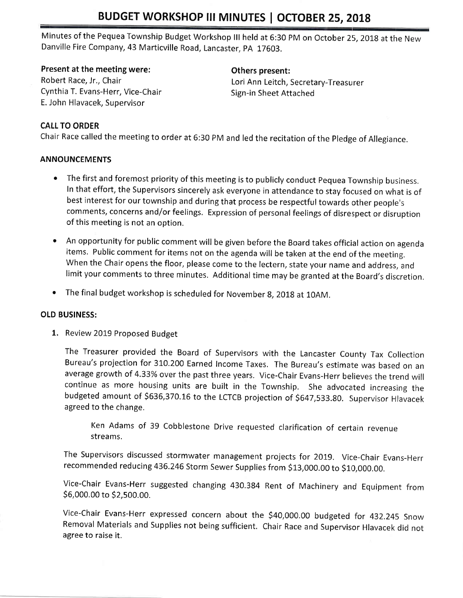# BUDGET WORKSHOP III MINUTES | OCTOBER 25, 2018

Minutes of the Pequea Township Budget Workshop lll held at 6:30 pM on October 25,2oIg at the New Danville Fire Company, 43 Marticville Road, Lancaster, pA 17603.

#### Present at the meeting were:

Robert Race, Jr,, Chair Cynthia T. Evans-Herr, Vice-Chair E. John Hlavacek, Supervisor

## Others present:

Lori Ann Leitch, Secretary-Treasurer Sign-in Sheet Attached

#### CALL TO ORDER

Chair Race called the meeting to order at 6:30 PM and led the recitation of the Pledge of Allegiance.

#### ANNOUNCEMENTS

- The first and foremost priority of this meeting is to publicly conduct Pequea Township business. In that effort, the Supervisors sincerely ask everyone in attendance to stay focused on what is of best interest for our township and during that process be respectful towards other people's comments, concerns and/or feelings. Expression of personal feelings of disrespect or disruption of this meeting is not an option.
- o An opportunity for public comment will be given before the Board takes official action on agenda items. Public comment for items not on the agenda will be taken at the end of the meeting. When the Chair opens the floor, please come to the lectern, state your name and address, and limit your comments to three minutes. Additional time may be granted at the Board's discretion.
- The final budget workshop is scheduled for November 8, 2018 at 10AM.

#### OLD BUSINESS:

1. Review 2019 Proposed Budget

The Treasurer provided the Board of Supervisors with the Lancaster County Tax Collection Bureau's projection for 310.200 Earned Income Taxes. The Bureau's estimate was based on an average growth of 4.33% over the past three years. Vice-Chair Evans-Herr believes the trend will continue as more housing units are built in the Township. She advocated increasing the budgeted amount of \$636,370.16 to the LCTCB projection of \$647,533.80. Supervisor Hlavacek agreed to the change.

Ken Adams of 39 Cobblestone Drive requested clarification of certain revenue streams.

The Supervisors discussed stormwater management projects for 2OL9. Vice-Chair Evans-Herr recommended reducing 436.246 Storm Sewer Supplies from \$13,000.00 to \$10,000.00.

Vice-Chair Evans-Herr suggested changing 430.384 Rent of Machinery and Equipment from So,ooo.oo to S2,5oo.oo.

Vice-Chair Evans-Herr expressed concern about the 540,000.00 budgeted for 432.245 Snow Removal Materials and Supplies not being sufficient. Chair Race and Supervisor Hlavacek did not agree to raise it.